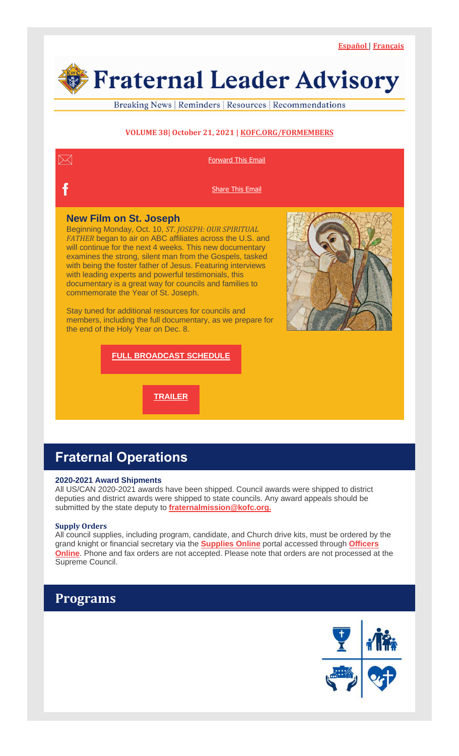Fraternal Leader Advisory

Breaking News | Reminders | Resources | Recommendations

### **VOLUME 38| October 21, 2021 | [KOFC.ORG/FORMEMBERS](https://r20.rs6.net/tn.jsp?f=001Dhi7GroBV5h7UHWZFjG37pXcoiB9CpLDmvWXO4eENq8QK6kdz--LsdaiWQFss96DqSNEQ_w5Q4IKpBAVk2Q63eEsWRONL4BO-NEeSqlfcEhTm8yecxR3nKEbex46iMJHVfeWoE5OY3sBO3cqiGeQsx9FueduGYVbRgh--LjGezxeQTE5ve0kl57HFo9sja_DFmjXHlVoHIf1hAXIleTJv7XpkS9vjw81ofFOSlf3G91IkJf_cdoucNSQF2yQG0Qmx-OdjCumBsXgesZmNInZIyPmH1iXuLKb35xidveUB2IY1GBkDIRs18pis_tyMozHbHG34BeRGww=&c=hkthso5bFLpDV2g_q7681p_ourSpJ33f95kovd0zGWBDYdfqxwVkXQ==&ch=RuxiM5ZlLN5XvcFCPcVzE7X4gJQgNv2LymrtuL6eO4vyuuAGVgMGqA==)**



# **Fraternal Operations**

### **2020-2021 Award Shipments**

All US/CAN 2020-2021 awards have been shipped. Council awards were shipped to district deputies and district awards were shipped to state councils. Any award appeals should be submitted by the state deputy to **[fraternalmission@kofc.org.](mailto:fraternalmission@kofc.org)**

#### **Supply Orders**

All council supplies, including program, candidate, and Church drive kits, must be ordered by the grand knight or financial secretary via the **[Supplies](https://r20.rs6.net/tn.jsp?f=001Dhi7GroBV5h7UHWZFjG37pXcoiB9CpLDmvWXO4eENq8QK6kdz--LsWxD-GLhbL4fHtKehPhzJXWj9gVX7iN2IC9lhJcL9wx4lPlkqoDzF9YME8VbTFJmscPtjVs17IINncPVKTuqVgNmB5D9R3_-QO03SNn0S-dfQjwXCV6PziMzrDnZPsSp3LVhEjLzjc4aFWNEqitSu10m396WivfzFh9YxsoPmLPsKePmhD0fbWRHKiY7GgxInQwFiz8wftGQqOU71hX1MRvjJlMifOFBWVM6oLG8bnuL9aAdFWe_U-7o7Nj7qMjIedbP6avla4SwxFWGpNJcSa7e08ghK3TY5g==&c=hkthso5bFLpDV2g_q7681p_ourSpJ33f95kovd0zGWBDYdfqxwVkXQ==&ch=RuxiM5ZlLN5XvcFCPcVzE7X4gJQgNv2LymrtuL6eO4vyuuAGVgMGqA==) Online** portal accessed through **[Officers](https://r20.rs6.net/tn.jsp?f=001Dhi7GroBV5h7UHWZFjG37pXcoiB9CpLDmvWXO4eENq8QK6kdz--LsU3eaaIejqdnx3MT-lx3ju0SMsEGpLZfwgsQfl3gDC96R3LpYor91tJVDv8yJKI1Z9qwUCBwxcGEldwD455ZC5ROBtqql6ZFFESOYQkIS8ytc-QDu-Wi3N2Lui5EhJUsJgDhVdMuwBdOXgv5o7DkrBFuRRJ-V1_R6a5Wg7iVVIHrE3TIB63Z024eNBcYjsouciyPE-ufjOuXA6vxe3_sUH3cMs9qCY-vTc_IsIQTHNiFFZnciBuE-DEwFhZnx-WLDQhjFDD6OUU90-rqy8FrCuht574sfMYIZWbARMdDhfvsoZgKW9UrZGF3_E9BHpNnXw==&c=hkthso5bFLpDV2g_q7681p_ourSpJ33f95kovd0zGWBDYdfqxwVkXQ==&ch=RuxiM5ZlLN5XvcFCPcVzE7X4gJQgNv2LymrtuL6eO4vyuuAGVgMGqA==) [Online](https://r20.rs6.net/tn.jsp?f=001Dhi7GroBV5h7UHWZFjG37pXcoiB9CpLDmvWXO4eENq8QK6kdz--LsU3eaaIejqdnx3MT-lx3ju0SMsEGpLZfwgsQfl3gDC96R3LpYor91tJVDv8yJKI1Z9qwUCBwxcGEldwD455ZC5ROBtqql6ZFFESOYQkIS8ytc-QDu-Wi3N2Lui5EhJUsJgDhVdMuwBdOXgv5o7DkrBFuRRJ-V1_R6a5Wg7iVVIHrE3TIB63Z024eNBcYjsouciyPE-ufjOuXA6vxe3_sUH3cMs9qCY-vTc_IsIQTHNiFFZnciBuE-DEwFhZnx-WLDQhjFDD6OUU90-rqy8FrCuht574sfMYIZWbARMdDhfvsoZgKW9UrZGF3_E9BHpNnXw==&c=hkthso5bFLpDV2g_q7681p_ourSpJ33f95kovd0zGWBDYdfqxwVkXQ==&ch=RuxiM5ZlLN5XvcFCPcVzE7X4gJQgNv2LymrtuL6eO4vyuuAGVgMGqA==)**. Phone and fax orders are not accepted. Please note that orders are not processed at the Supreme Council.

### **Programs**

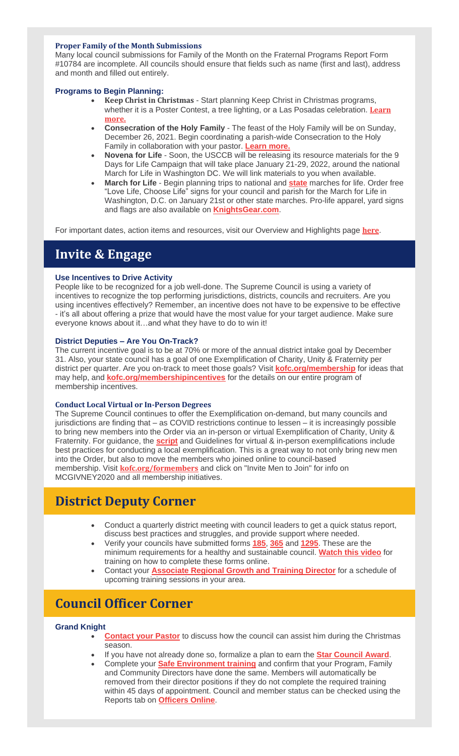#### **Proper Family of the Month Submissions**

Many local council submissions for Family of the Month on the Fraternal Programs Report Form #10784 are incomplete. All councils should ensure that fields such as name (first and last), address and month and filled out entirely.

### **Programs to Begin Planning:**

- **Keep Christ in Christmas** Start planning Keep Christ in Christmas programs, whether it is a Poster Contest, a tree lighting, or a Las Posadas celebration. **[Learn](https://r20.rs6.net/tn.jsp?f=001Dhi7GroBV5h7UHWZFjG37pXcoiB9CpLDmvWXO4eENq8QK6kdz--LsQHNOmrOTJNzwkd7FtnnOeaLUI_7NNJnKwOECE0upDanlcks0esS57KBbrLWDjgP38oe4VhrA7SZP7KAOCLuriKAmw85nQO5jRgQO0swg65fqYqFP1ZBuRFZTcjzT7iQB-Cbpb_NItzdxjbBrvd30I20TB9fTG-q727g9Fc4ieLK0fO7ntg3K0xt-ITDvpH8o9lLdFJ8O_NJp6ycvQYegASVWgyPZoWwlysx8bev3Jdr-y4cUhNql4lmsEhtGLiktPWKmQAAyBKcYC4WbwA0W70cyZrTrBm7QBHzvaX9Ae_a24SdceeH7UF5uLuv94VIcOhvb3Pinw1TqN0vMxCwIkA=&c=hkthso5bFLpDV2g_q7681p_ourSpJ33f95kovd0zGWBDYdfqxwVkXQ==&ch=RuxiM5ZlLN5XvcFCPcVzE7X4gJQgNv2LymrtuL6eO4vyuuAGVgMGqA==) [more.](https://r20.rs6.net/tn.jsp?f=001Dhi7GroBV5h7UHWZFjG37pXcoiB9CpLDmvWXO4eENq8QK6kdz--LsQHNOmrOTJNzwkd7FtnnOeaLUI_7NNJnKwOECE0upDanlcks0esS57KBbrLWDjgP38oe4VhrA7SZP7KAOCLuriKAmw85nQO5jRgQO0swg65fqYqFP1ZBuRFZTcjzT7iQB-Cbpb_NItzdxjbBrvd30I20TB9fTG-q727g9Fc4ieLK0fO7ntg3K0xt-ITDvpH8o9lLdFJ8O_NJp6ycvQYegASVWgyPZoWwlysx8bev3Jdr-y4cUhNql4lmsEhtGLiktPWKmQAAyBKcYC4WbwA0W70cyZrTrBm7QBHzvaX9Ae_a24SdceeH7UF5uLuv94VIcOhvb3Pinw1TqN0vMxCwIkA=&c=hkthso5bFLpDV2g_q7681p_ourSpJ33f95kovd0zGWBDYdfqxwVkXQ==&ch=RuxiM5ZlLN5XvcFCPcVzE7X4gJQgNv2LymrtuL6eO4vyuuAGVgMGqA==)**
- **Consecration of the Holy Family** The feast of the Holy Family will be on Sunday, December 26, 2021. Begin coordinating a parish-wide Consecration to the Holy Family in collaboration with your pastor. **[Learn](https://r20.rs6.net/tn.jsp?f=001Dhi7GroBV5h7UHWZFjG37pXcoiB9CpLDmvWXO4eENq8QK6kdz--LsQHNOmrOTJNzkvnNXi-3-c8s9_kDldroQRc4PaR-sXMkr77GQqOPuozVxZ-0K6nLEyj8S9T3isrPczfE7rmXVISeUZ0dbnxySJmffKNY4TxRGfJq2QDDTSSSvkmE_j-OMEF4zJ4Rxg2ZAEC9keB8AL5NYBz19xwzRZY3AIMQYoXDRffhObTKlpXEzX1fAr2TDDREDARYiapzenxUUwKOgaXRLeN54B36amykaNaTlpuMw5UuuvJKdYSG4ioHkYvaW7ZB32ZCb8HwjV9iEfQj6YD_DEBWDkE6MwAwwf39mgfZ1YrmHi0tOdNrlFf8bMVveLkJ8NmtRRytEEICn7g4UPxKzyYAvAh1pw==&c=hkthso5bFLpDV2g_q7681p_ourSpJ33f95kovd0zGWBDYdfqxwVkXQ==&ch=RuxiM5ZlLN5XvcFCPcVzE7X4gJQgNv2LymrtuL6eO4vyuuAGVgMGqA==) more.**
- **Novena for Life** Soon, the USCCB will be releasing its resource materials for the 9 Days for Life Campaign that will take place January 21-29, 2022, around the national March for Life in Washington DC. We will link materials to you when available.
- **March for Life** Begin planning trips to national and **[state](https://r20.rs6.net/tn.jsp?f=001Dhi7GroBV5h7UHWZFjG37pXcoiB9CpLDmvWXO4eENq8QK6kdz--Lsecuq_LB0HMWM3eOyxYp1hMXjXcpvgWrm_L2v0DWj5lyn-zjSZDdHFTZsmUIyDd9jg_ECGkDjSiQ5QfIH8gPSo6eEalI1OwAJJQdPRdTq-XC04loPLxfNTXM0wZi3pP2_axRSTF4bzTzuDwYCT2T2fXnLE200PZhRwV2IduIYx_Ssx-mAevIvUaqkoX7nd6dRA2gtqtYvoxUEMnNqRnJG6Hpyk-KsYhQwBYdoRON_3v_2huRxKfC9VN6KfKy_0NU44wBfM6c4fgl&c=hkthso5bFLpDV2g_q7681p_ourSpJ33f95kovd0zGWBDYdfqxwVkXQ==&ch=RuxiM5ZlLN5XvcFCPcVzE7X4gJQgNv2LymrtuL6eO4vyuuAGVgMGqA==)** marches for life. Order free "Love Life, Choose Life" signs for your council and parish for the March for Life in Washington, D.C. on January 21st or other state marches. Pro-life apparel, yard signs and flags are also available on **[KnightsGear.com](https://r20.rs6.net/tn.jsp?f=001Dhi7GroBV5h7UHWZFjG37pXcoiB9CpLDmvWXO4eENq8QK6kdz--LsU3eaaIejqdnCrLc8U9g_hdzpQkXsvvHV_lBoq--zdAAWUjsyF7MFnNL8pso3gRc3pV8Wun2QFjr8JzT5qtlJkB-RrCBkQNkDcp8cxsE_RO48AAt2tJeWLr_At3EalYd9Yr43EeyV70r3bo__7hwd8A5GxpUCNDsFwXMNHq-JdvMGZsAV7VKcvOtXaCwceIDoCjTbHq_r1v48mWpsQOfD-L6L54juf5D9L1QL44DN2ZXHMBugldvqJ0=&c=hkthso5bFLpDV2g_q7681p_ourSpJ33f95kovd0zGWBDYdfqxwVkXQ==&ch=RuxiM5ZlLN5XvcFCPcVzE7X4gJQgNv2LymrtuL6eO4vyuuAGVgMGqA==)**.

For important dates, action items and resources, visit our Overview and Highlights page **[here](https://r20.rs6.net/tn.jsp?f=001Dhi7GroBV5h7UHWZFjG37pXcoiB9CpLDmvWXO4eENq8QK6kdz--Lsagi_YuCNBymsJ8cS8SuCsrO7BpUwo2q3rGafI_v6I0f1PAu9kF2YqULWVccclwauIOOc8Pp4I9J_Ur2w7GxUevzl_0k4MsebSuYC3KTYTwMwlaROuTJEDsPyDLBuuctl4JMkoVNFkBefVhWMQ9L_3AV1yc0TgNLiySDi1CkTurQ5k74tOSqBc-YzQDynh6nZ2y6OIGx6ym7UNgxfEBwKRx8WaazaFYyZqfreaMFXLtIRH_ImwNbKVKsAoUq9E7nZC6Ce9SwvRNsJrYRwW1kCOjqXYArY80B858Kcx5jw1cnCrwQjsV_BMTN2Ayb6xTa8A==&c=hkthso5bFLpDV2g_q7681p_ourSpJ33f95kovd0zGWBDYdfqxwVkXQ==&ch=RuxiM5ZlLN5XvcFCPcVzE7X4gJQgNv2LymrtuL6eO4vyuuAGVgMGqA==)**.

## **Invite & Engage**

### **Use Incentives to Drive Activity**

People like to be recognized for a job well-done. The Supreme Council is using a variety of incentives to recognize the top performing jurisdictions, districts, councils and recruiters. Are you using incentives effectively? Remember, an incentive does not have to be expensive to be effective - it's all about offering a prize that would have the most value for your target audience. Make sure everyone knows about it…and what they have to do to win it!

### **District Deputies – Are You On-Track?**

The current incentive goal is to be at 70% or more of the annual district intake goal by December 31. Also, your state council has a goal of one Exemplification of Charity, Unity & Fraternity per district per quarter. Are you on-track to meet those goals? Visit **[kofc.org/membership](https://r20.rs6.net/tn.jsp?f=001Dhi7GroBV5h7UHWZFjG37pXcoiB9CpLDmvWXO4eENq8QK6kdz--LsaenH1rZi4A3a3gR7xdkJDWCj7Q-JE5kFmhXHLnuxZ_cEzAu0NNENSU6uYint5zAZ0O_TIpC4vNUwsNiqYRSuE38NTRyn-bM9rPxRiMHOJs8rbZnc_nAQQqftXK7CxLgv128eSPtlCwF&c=hkthso5bFLpDV2g_q7681p_ourSpJ33f95kovd0zGWBDYdfqxwVkXQ==&ch=RuxiM5ZlLN5XvcFCPcVzE7X4gJQgNv2LymrtuL6eO4vyuuAGVgMGqA==)** for ideas that may help, and **[kofc.org/membershipincentives](https://r20.rs6.net/tn.jsp?f=001Dhi7GroBV5h7UHWZFjG37pXcoiB9CpLDmvWXO4eENq8QK6kdz--LsU3eaaIejqdnu1AdElazMNtyEfqWh0flVwI3Qw79x7VGVunIup9xkoX4_Ly4yHcNk47s8Zgiamxw1QgwruVTlMrIchhE1kHJi0B4ndjIa0zukRD_61eNMjabitqdQ_QhCz5eBYLdJv_SMK3kc_4uXD5tJBmEmqVEozZLW4tuUc6A6c6tQ2AL1kWrqoD97f6JBw==&c=hkthso5bFLpDV2g_q7681p_ourSpJ33f95kovd0zGWBDYdfqxwVkXQ==&ch=RuxiM5ZlLN5XvcFCPcVzE7X4gJQgNv2LymrtuL6eO4vyuuAGVgMGqA==)** for the details on our entire program of membership incentives.

### **Conduct Local Virtual or In-Person Degrees**

The Supreme Council continues to offer the Exemplification on-demand, but many councils and jurisdictions are finding that – as COVID restrictions continue to lessen – it is increasingly possible to bring new members into the Order via an in-person or virtual Exemplification of Charity, Unity & Fraternity. For guidance, the **[script](https://r20.rs6.net/tn.jsp?f=001Dhi7GroBV5h7UHWZFjG37pXcoiB9CpLDmvWXO4eENq8QK6kdz--Lsecuq_LB0HMWMvGxhD-11dy06kgbykVC2ElbT4zNBjkBmxoNv2mgKYTZVRZZWSh_pHbP4rfq5V_EKg5Dtqn0-DUi0yp1dOQamcBAbkRTrw1uSSKv7YXv2ho5B_GziNcgWX1VhKqlrKGWMckl2vwKGN09ApLyR2e_8d8UEPbFjhqjHaMzfXGuNNp2QIPGlMrGtQ==&c=hkthso5bFLpDV2g_q7681p_ourSpJ33f95kovd0zGWBDYdfqxwVkXQ==&ch=RuxiM5ZlLN5XvcFCPcVzE7X4gJQgNv2LymrtuL6eO4vyuuAGVgMGqA==)** and Guidelines for virtual & in-person exemplifications include best practices for conducting a local exemplification. This is a great way to not only bring new men into the Order, but also to move the members who joined online to council-based membership. Visit **[kofc.org/formembers](https://r20.rs6.net/tn.jsp?f=001Dhi7GroBV5h7UHWZFjG37pXcoiB9CpLDmvWXO4eENq8QK6kdz--LsaenH1rZi4A3a3gR7xdkJDWCj7Q-JE5kFmhXHLnuxZ_cEzAu0NNENSU6uYint5zAZ0O_TIpC4vNUwsNiqYRSuE38NTRyn-bM9rPxRiMHOJs8rbZnc_nAQQqftXK7CxLgv2cpkbGRfhkgOKk4LnlVCeSEyKy8kCzWrILYiFjSAwBLFysgIQeT7Pp3ShlXoYDQro3TgE_LHr7MXhEl2jCCp_5Ez7FZjsA86LP-RGH08M2IGIXYVDAxZOlSdSRFu62fINlosiRwxCOmVopnQK8coRW58gw2CJfj1Q==&c=hkthso5bFLpDV2g_q7681p_ourSpJ33f95kovd0zGWBDYdfqxwVkXQ==&ch=RuxiM5ZlLN5XvcFCPcVzE7X4gJQgNv2LymrtuL6eO4vyuuAGVgMGqA==)** and click on "Invite Men to Join" for info on MCGIVNEY2020 and all membership initiatives.

### **District Deputy Corner**

- Conduct a quarterly district meeting with council leaders to get a quick status report, discuss best practices and struggles, and provide support where needed.
- Verify your councils have submitted forms **[185](https://r20.rs6.net/tn.jsp?f=001Dhi7GroBV5h7UHWZFjG37pXcoiB9CpLDmvWXO4eENq8QK6kdz--Lse9RHSXDiMRopoRMtd-Vq6W8EbQEhdo7rk8XAdLJnFxtdNVbQ2oFcUneI0YWm-_kY-s7EPDPb9GHLmp2A12LT-uQ1-GQ1rgaORQZldvgg5F_mee8EfW1htnzQPKXFl82tdvgP0NT5JR71MxxHuzVthEEzkybuS_BLYB8cnxTgo4jaWyCKGsYZgssilluVKaXHg==&c=hkthso5bFLpDV2g_q7681p_ourSpJ33f95kovd0zGWBDYdfqxwVkXQ==&ch=RuxiM5ZlLN5XvcFCPcVzE7X4gJQgNv2LymrtuL6eO4vyuuAGVgMGqA==)**, **[365](https://r20.rs6.net/tn.jsp?f=001Dhi7GroBV5h7UHWZFjG37pXcoiB9CpLDmvWXO4eENq8QK6kdz--Lse9RHSXDiMRopoRMtd-Vq6W8EbQEhdo7rk8XAdLJnFxtdNVbQ2oFcUneI0YWm-_kY-s7EPDPb9GHLmp2A12LT-uQ1-GQ1rgaORQZldvgg5F_mee8EfW1htnzQPKXFl82tdvgP0NT5JR71MxxHuzVthEEzkybuS_BLYB8cnxTgo4jaWyCKGsYZgssilluVKaXHg==&c=hkthso5bFLpDV2g_q7681p_ourSpJ33f95kovd0zGWBDYdfqxwVkXQ==&ch=RuxiM5ZlLN5XvcFCPcVzE7X4gJQgNv2LymrtuL6eO4vyuuAGVgMGqA==)** and **[1295](https://r20.rs6.net/tn.jsp?f=001Dhi7GroBV5h7UHWZFjG37pXcoiB9CpLDmvWXO4eENq8QK6kdz--LsQzLRdKys3pHljTvV0i1Y4_HpRbKNMM4pgd9YaIRo2oU2mD_-Z7ihzWzDPc_iDQfEh6oMMOuKfVOe_W6dk6laUH4A9c6f2SDR1HBwiUpkiclwllKp55iXgt2PChnS6wGreSJfmldmF0w&c=hkthso5bFLpDV2g_q7681p_ourSpJ33f95kovd0zGWBDYdfqxwVkXQ==&ch=RuxiM5ZlLN5XvcFCPcVzE7X4gJQgNv2LymrtuL6eO4vyuuAGVgMGqA==)**. These are the minimum requirements for a healthy and sustainable council. **[Watch](https://r20.rs6.net/tn.jsp?f=001Dhi7GroBV5h7UHWZFjG37pXcoiB9CpLDmvWXO4eENq8QK6kdz--Lse9RHSXDiMRopoRMtd-Vq6W8EbQEhdo7rk8XAdLJnFxtdNVbQ2oFcUneI0YWm-_kY-s7EPDPb9GHLmp2A12LT-uQ1-GQ1rgaORQZldvgg5F_mee8EfW1htnzQPKXFl82tdvgP0NT5JR71MxxHuzVthEEzkybuS_BLYB8cnxTgo4jaWyCKGsYZgssilluVKaXHg==&c=hkthso5bFLpDV2g_q7681p_ourSpJ33f95kovd0zGWBDYdfqxwVkXQ==&ch=RuxiM5ZlLN5XvcFCPcVzE7X4gJQgNv2LymrtuL6eO4vyuuAGVgMGqA==) this video** for training on how to complete these forms online.
- Contact your **[Associate](https://r20.rs6.net/tn.jsp?f=001Dhi7GroBV5h7UHWZFjG37pXcoiB9CpLDmvWXO4eENq8QK6kdz--LsWtRBtn8gC4uglOYqHikWgg3QO_mFGNmxlPFIbOYfRYeq0oSX-6ZO_gas1_-bI5vIXSFluIC-KQZlf1vmU1ca9isIwRrOfCDusc8AdaoQxJFfER3m27ExZ20e8Rl2_3IZtRtR9hO5yDgMraRahZMrQUbHOAhb7buv18d8ddfXzLasafczBKwH59a7B83v22Lp6Ym3vYNvLzVB4A4b7_SAOyVZOJz5mIPT_Em0DIZUrVCuGbA3JPAvMlk0Yaf8Ee67h8rLPNkqocS6YZTf05jj4kvobfUnwGJymmV4V7QPjn9-76cpzkydzIyGO7vVJkSi99mw7MG-xxXVjfBi3Fkr3E_vJr7dUA05g==&c=hkthso5bFLpDV2g_q7681p_ourSpJ33f95kovd0zGWBDYdfqxwVkXQ==&ch=RuxiM5ZlLN5XvcFCPcVzE7X4gJQgNv2LymrtuL6eO4vyuuAGVgMGqA==) Regional Growth and Training Director** for a schedule of upcoming training sessions in your area.

# **Council Officer Corner**

### **Grand Knight**

- **[Contact](https://r20.rs6.net/tn.jsp?f=001Dhi7GroBV5h7UHWZFjG37pXcoiB9CpLDmvWXO4eENq8QK6kdz--Lsecuq_LB0HMWg7lnir4w_dtL50Bbt-AfJAlvdquT7aVCNs8ajbVBwCHEAnE50MVc_LOjQ_m-cm6TWKV7yVHuxAXiaD7BCYf-mh7cNUu6q7JxAs57SSxsAppoWqJlqMdY1nyJ9kJ7zd-xBsk67NnllUgamtHtNcbPaHhcjwiKIvdTlyPeIqFWg51N4HedmdpWITUJTsf_b5ykfkBVBvs2ICYVGPsVpyuhYhP6Avz-EMMF7PDHj9I41C7GTB09UwQkyebN9zop5vNpqO0QFDkLk9ESsAWpMW-NTItLwmBHS8d_iq3obMB-05Y_9fdG0CSsRg==&c=hkthso5bFLpDV2g_q7681p_ourSpJ33f95kovd0zGWBDYdfqxwVkXQ==&ch=RuxiM5ZlLN5XvcFCPcVzE7X4gJQgNv2LymrtuL6eO4vyuuAGVgMGqA==) your Pastor** to discuss how the council can assist him during the Christmas season.
- If you have not already done so, formalize a plan to earn the **Star [Council](https://r20.rs6.net/tn.jsp?f=001Dhi7GroBV5h7UHWZFjG37pXcoiB9CpLDmvWXO4eENq8QK6kdz--LsboDPlgMGBG4HDhDkxJxI1Mnw5alD2M9tWF_4X5Js-qA8qk84-55kzdBNYJ6-FykceDHVtHlwonRwl4lm1eUYePqWhES54Ep_g4TK0vEJcoUhADXh18xhO1twHdt19mM9yBPUmYXaoCf7C-fon7S40xcmoK0kXm-sabP-WsxrGtFWO55OG78mxRT0f6geHSYtQnPw9oCYTXrH6I-K4-UHjCukrgvhsG2DIG-liMO542Yvx0F8J7L5oLFWAUwTJo8MOcxyb3yQXYmXF_WOVmnCqZAgDAoZSlUwR317rWS5p7e&c=hkthso5bFLpDV2g_q7681p_ourSpJ33f95kovd0zGWBDYdfqxwVkXQ==&ch=RuxiM5ZlLN5XvcFCPcVzE7X4gJQgNv2LymrtuL6eO4vyuuAGVgMGqA==) Award**.
- Complete your **Safe [Environment](https://r20.rs6.net/tn.jsp?f=001Dhi7GroBV5h7UHWZFjG37pXcoiB9CpLDmvWXO4eENq8QK6kdz--Lsecuq_LB0HMWekkNMwFeAK55bGA-eS5dGYj6ZM3ZetdO1z9rCfqmjCFD9DRO1fw-2FmejSVilp0vyTCIit0zPb6TnCjQiA50eNRDYayPCNfsZEzDwpitN11suXfVJB1MprTchvPO-76f6LkRqgEGG9yO1MX4aezj6lvttldig-lhHzrxZvq5YdoBfKxFIsgX4n8K2DszCXaCUtl8y2jNPaj45bi6yL6Nm7UV6Rkw22SeK3fvGY5gPxQma8b7cGRR0lZMh8OBLgZPSA_yc0QYysYK7tJOEQxIsQ==&c=hkthso5bFLpDV2g_q7681p_ourSpJ33f95kovd0zGWBDYdfqxwVkXQ==&ch=RuxiM5ZlLN5XvcFCPcVzE7X4gJQgNv2LymrtuL6eO4vyuuAGVgMGqA==) training** and confirm that your Program, Family and Community Directors have done the same. Members will automatically be removed from their director positions if they do not complete the required training within 45 days of appointment. Council and member status can be checked using the Reports tab on **[Officers](https://r20.rs6.net/tn.jsp?f=001Dhi7GroBV5h7UHWZFjG37pXcoiB9CpLDmvWXO4eENq8QK6kdz--LsWxD-GLhbL4fHtKehPhzJXWj9gVX7iN2IC9lhJcL9wx4lPlkqoDzF9YME8VbTFJmscPtjVs17IINncPVKTuqVgNmB5D9R3_-QO03SNn0S-dfQjwXCV6PziMzrDnZPsSp3LVhEjLzjc4aFWNEqitSu10m396WivfzFh9YxsoPmLPsKePmhD0fbWRHKiY7GgxInQwFiz8wftGQqOU71hX1MRvjJlMifOFBWVM6oLG8bnuL9aAdFWe_U-7o7Nj7qMjIedbP6avla4SwxFWGpNJcSa7e08ghK3TY5g==&c=hkthso5bFLpDV2g_q7681p_ourSpJ33f95kovd0zGWBDYdfqxwVkXQ==&ch=RuxiM5ZlLN5XvcFCPcVzE7X4gJQgNv2LymrtuL6eO4vyuuAGVgMGqA==) Online**.